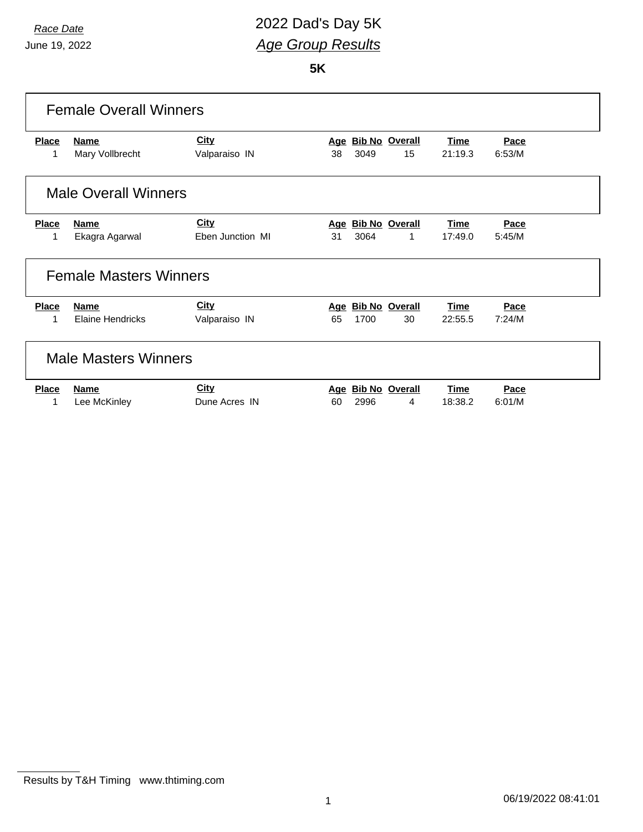### *Race Date* 2022 Dad's Day 5K *Age Group Results*

**5K**

| <b>Female Overall Winners</b> |                               |                  |    |      |                    |             |        |  |
|-------------------------------|-------------------------------|------------------|----|------|--------------------|-------------|--------|--|
| <b>Place</b>                  | <b>Name</b>                   | <b>City</b>      |    |      | Age Bib No Overall | <b>Time</b> | Pace   |  |
| 1                             | Mary Vollbrecht               | Valparaiso IN    | 38 | 3049 | 15                 | 21:19.3     | 6:53/M |  |
|                               | <b>Male Overall Winners</b>   |                  |    |      |                    |             |        |  |
| <b>Place</b>                  | <b>Name</b>                   | <b>City</b>      |    |      | Age Bib No Overall | <b>Time</b> | Pace   |  |
| 1                             | Ekagra Agarwal                | Eben Junction MI | 31 | 3064 | 1                  | 17:49.0     | 5:45/M |  |
|                               | <b>Female Masters Winners</b> |                  |    |      |                    |             |        |  |
| <b>Place</b>                  | <b>Name</b>                   | <b>City</b>      |    |      | Age Bib No Overall | <b>Time</b> | Pace   |  |
| 1                             | <b>Elaine Hendricks</b>       | Valparaiso IN    | 65 | 1700 | 30                 | 22:55.5     | 7:24/M |  |
|                               | <b>Male Masters Winners</b>   |                  |    |      |                    |             |        |  |
| <b>Place</b>                  | <b>Name</b>                   | <b>City</b>      |    |      | Age Bib No Overall | <b>Time</b> | Pace   |  |
| 1                             | Lee McKinley                  | Dune Acres IN    | 60 | 2996 | 4                  | 18:38.2     | 6:01/M |  |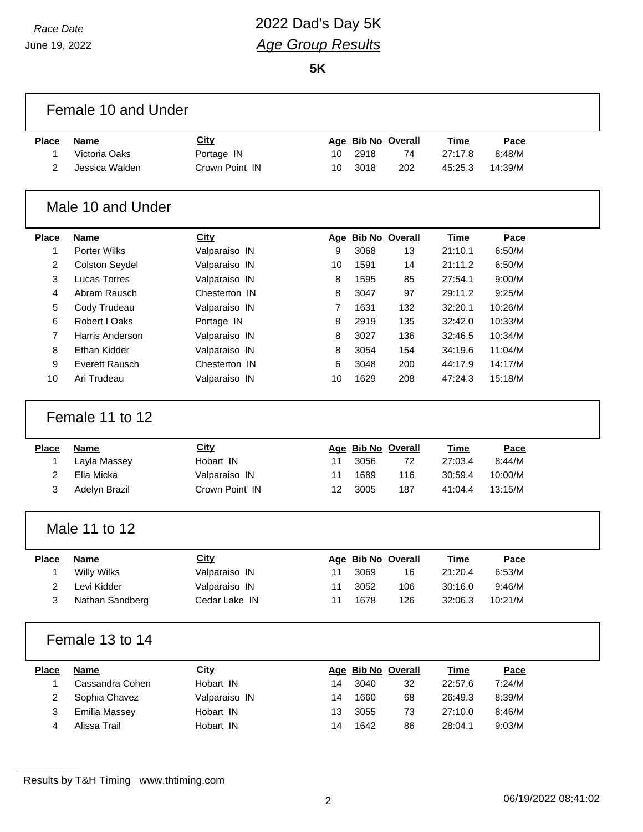$\Gamma$ 

## *Race Date* 2022 Dad's Day 5K *Age Group Results*

**5K**

|                | Female 10 and Under   |                |                |      |                          |             |         |  |
|----------------|-----------------------|----------------|----------------|------|--------------------------|-------------|---------|--|
| <b>Place</b>   | <b>Name</b>           | <b>City</b>    |                |      | Age Bib No Overall       | <b>Time</b> | Pace    |  |
| 1              | Victoria Oaks         | Portage IN     | 10             | 2918 | 74                       | 27:17.8     | 8:48/M  |  |
| 2              | Jessica Walden        | Crown Point IN | 10             | 3018 | 202                      | 45:25.3     | 14:39/M |  |
|                | Male 10 and Under     |                |                |      |                          |             |         |  |
| <b>Place</b>   | <b>Name</b>           | <b>City</b>    |                |      | Age Bib No Overall       | Time        | Pace    |  |
| 1              | Porter Wilks          | Valparaiso IN  | 9              | 3068 | 13                       | 21:10.1     | 6:50/M  |  |
| 2              | <b>Colston Seydel</b> | Valparaiso IN  | 10             | 1591 | 14                       | 21:11.2     | 6:50/M  |  |
| 3              | <b>Lucas Torres</b>   | Valparaiso IN  | 8              | 1595 | 85                       | 27:54.1     | 9:00/M  |  |
| 4              | Abram Rausch          | Chesterton IN  | 8              | 3047 | 97                       | 29:11.2     | 9:25/M  |  |
| 5              | Cody Trudeau          | Valparaiso IN  | $\overline{7}$ | 1631 | 132                      | 32:20.1     | 10:26/M |  |
| 6              | Robert I Oaks         | Portage IN     | 8              | 2919 | 135                      | 32:42.0     | 10:33/M |  |
| $\overline{7}$ | Harris Anderson       | Valparaiso IN  | 8              | 3027 | 136                      | 32:46.5     | 10:34/M |  |
| 8              | Ethan Kidder          | Valparaiso IN  | 8              | 3054 | 154                      | 34:19.6     | 11:04/M |  |
| 9              | <b>Everett Rausch</b> | Chesterton IN  | 6              | 3048 | 200                      | 44:17.9     | 14:17/M |  |
| 10             | Ari Trudeau           | Valparaiso IN  | 10             | 1629 | 208                      | 47:24.3     | 15:18/M |  |
|                | Female 11 to 12       |                |                |      |                          |             |         |  |
| <b>Place</b>   | <b>Name</b>           | City           |                |      | Age Bib No Overall       | Time        | Pace    |  |
| 1              | Layla Massey          | Hobart IN      | 11             | 3056 | 72                       | 27:03.4     | 8:44/M  |  |
| 2              | Ella Micka            | Valparaiso IN  | 11             | 1689 | 116                      | 30:59.4     | 10:00/M |  |
| 3              | Adelyn Brazil         | Crown Point IN | 12             | 3005 | 187                      | 41:04.4     | 13:15/M |  |
|                |                       |                |                |      |                          |             |         |  |
|                | Male 11 to 12         |                |                |      |                          |             |         |  |
| <b>Place</b>   | <b>Name</b>           | <b>City</b>    |                |      |                          | Time        | Pace    |  |
| 1              | <b>Willy Wilks</b>    | Valparaiso IN  | 11             | 3069 | Age Bib No Overall<br>16 | 21:20.4     | 6:53/M  |  |
| 2              | Levi Kidder           | Valparaiso IN  | 11             | 3052 | 106                      | 30:16.0     | 9:46/M  |  |
| 3              | Nathan Sandberg       | Cedar Lake IN  | 11             | 1678 | 126                      | 32:06.3     | 10:21/M |  |
|                | Female 13 to 14       |                |                |      |                          |             |         |  |
| <b>Place</b>   | <b>Name</b>           | <b>City</b>    |                |      | Age Bib No Overall       | <b>Time</b> | Pace    |  |
| 1              | Cassandra Cohen       | Hobart IN      | 14             | 3040 | 32                       | 22:57.6     | 7:24/M  |  |
| 2              | Sophia Chavez         | Valparaiso IN  | 14             | 1660 | 68                       | 26:49.3     | 8:39/M  |  |
| 3              | <b>Emilia Massey</b>  | Hobart IN      | 13             | 3055 | 73                       | 27:10.0     | 8:46/M  |  |
| 4              | Alissa Trail          | Hobart IN      | 14             | 1642 | 86                       | 28:04.1     | 9:03/M  |  |

Results by T&H Timing www.thtiming.com

٦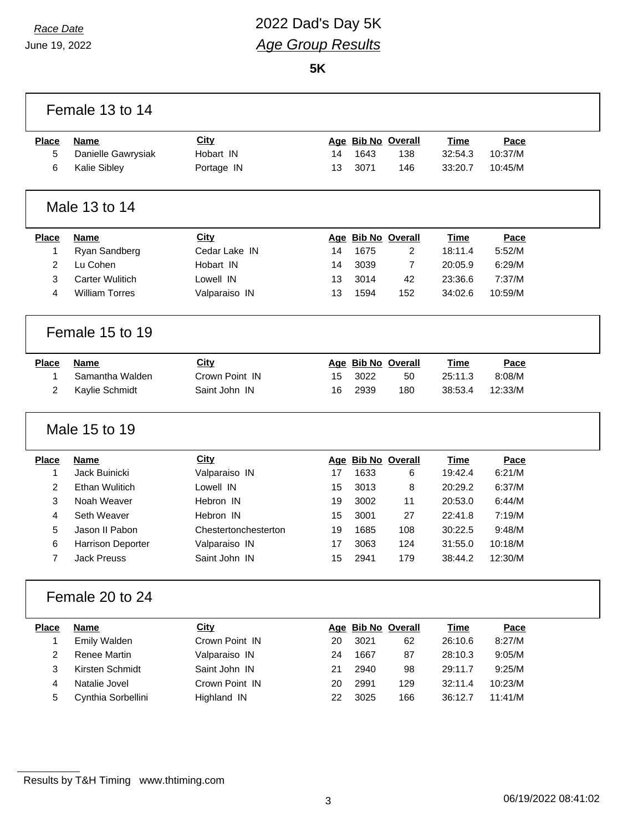## *Race Date* 2022 Dad's Day 5K *Age Group Results*

**5K**

|                | Female 13 to 14          |                      |    |      |                    |             |         |  |
|----------------|--------------------------|----------------------|----|------|--------------------|-------------|---------|--|
| <b>Place</b>   | <b>Name</b>              | <b>City</b>          |    |      | Age Bib No Overall | Time        | Pace    |  |
| 5              | Danielle Gawrysiak       | Hobart IN            | 14 | 1643 | 138                | 32:54.3     | 10:37/M |  |
| 6              | Kalie Sibley             | Portage IN           | 13 | 3071 | 146                | 33:20.7     | 10:45/M |  |
|                | Male 13 to 14            |                      |    |      |                    |             |         |  |
| <b>Place</b>   | <b>Name</b>              | <b>City</b>          |    |      | Age Bib No Overall | <b>Time</b> | Pace    |  |
| 1              | Ryan Sandberg            | Cedar Lake IN        | 14 | 1675 | 2                  | 18:11.4     | 5:52/M  |  |
| $\overline{2}$ | Lu Cohen                 | Hobart IN            | 14 | 3039 | 7                  | 20:05.9     | 6:29/M  |  |
| 3              | <b>Carter Wulitich</b>   | Lowell IN            | 13 | 3014 | 42                 | 23:36.6     | 7:37/M  |  |
| 4              | <b>William Torres</b>    | Valparaiso IN        | 13 | 1594 | 152                | 34:02.6     | 10:59/M |  |
|                | Female 15 to 19          |                      |    |      |                    |             |         |  |
| <b>Place</b>   | <b>Name</b>              | <b>City</b>          |    |      | Age Bib No Overall | Time        | Pace    |  |
| 1              | Samantha Walden          | Crown Point IN       | 15 | 3022 | 50                 | 25:11.3     | 8:08/M  |  |
| $\overline{2}$ | Kaylie Schmidt           | Saint John IN        | 16 | 2939 | 180                | 38:53.4     | 12:33/M |  |
|                |                          |                      |    |      |                    |             |         |  |
|                | Male 15 to 19            |                      |    |      |                    |             |         |  |
| <b>Place</b>   | <b>Name</b>              | <b>City</b>          |    |      | Age Bib No Overall | Time        | Pace    |  |
| $\mathbf{1}$   | Jack Buinicki            | Valparaiso IN        | 17 | 1633 | 6                  | 19:42.4     | 6:21/M  |  |
| $\overline{2}$ | <b>Ethan Wulitich</b>    | Lowell IN            | 15 | 3013 | 8                  | 20:29.2     | 6:37/M  |  |
| 3              | Noah Weaver              | Hebron IN            | 19 | 3002 | 11                 | 20:53.0     | 6:44/M  |  |
| $\overline{4}$ | Seth Weaver              | Hebron IN            | 15 | 3001 | 27                 | 22:41.8     | 7:19/M  |  |
| 5              | Jason II Pabon           | Chestertonchesterton | 19 | 1685 | 108                | 30:22.5     | 9:48/M  |  |
| 6              | <b>Harrison Deporter</b> | Valparaiso IN        | 17 | 3063 | 124                | 31:55.0     | 10:18/M |  |
| $\overline{7}$ | <b>Jack Preuss</b>       | Saint John IN        | 15 | 2941 | 179                | 38:44.2     | 12:30/M |  |
|                | Female 20 to 24          |                      |    |      |                    |             |         |  |
| <b>Place</b>   | <b>Name</b>              | City                 |    |      | Age Bib No Overall | <b>Time</b> | Pace    |  |
| 1              | Emily Walden             | Crown Point IN       | 20 | 3021 | 62                 | 26:10.6     | 8:27/M  |  |
| $\overline{2}$ | Renee Martin             | Valparaiso IN        | 24 | 1667 | 87                 | 28:10.3     | 9:05/M  |  |
| 3              | Kirsten Schmidt          | Saint John IN        | 21 | 2940 | 98                 | 29:11.7     | 9:25/M  |  |
| 4              | Natalie Jovel            | Crown Point IN       | 20 | 2991 | 129                | 32:11.4     | 10:23/M |  |
| 5              | Cynthia Sorbellini       | Highland IN          | 22 | 3025 | 166                | 36:12.7     | 11:41/M |  |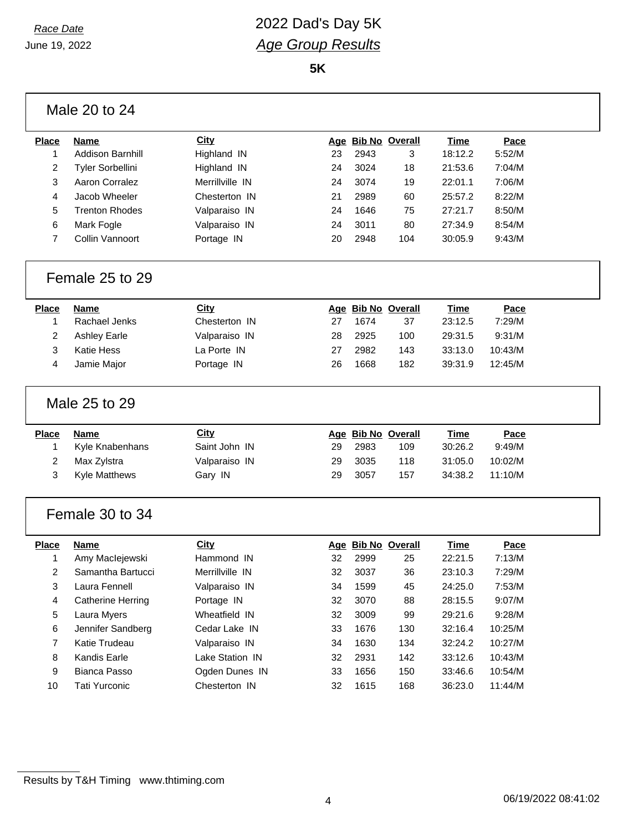#### *Race Date* 2022 Dad's Day 5K *Age Group Results*

**5K**

|                | Male 20 to 24           |                 |    |      |                    |             |         |  |
|----------------|-------------------------|-----------------|----|------|--------------------|-------------|---------|--|
| <b>Place</b>   | <b>Name</b>             | <b>City</b>     |    |      | Age Bib No Overall | <b>Time</b> | Pace    |  |
| 1              | <b>Addison Barnhill</b> | Highland IN     | 23 | 2943 | 3                  | 18:12.2     | 5:52/M  |  |
| 2              | Tyler Sorbellini        | Highland IN     | 24 | 3024 | 18                 | 21:53.6     | 7:04/M  |  |
| 3              | Aaron Corralez          | Merrillville IN | 24 | 3074 | 19                 | 22:01.1     | 7:06/M  |  |
| 4              | Jacob Wheeler           | Chesterton IN   | 21 | 2989 | 60                 | 25:57.2     | 8:22/M  |  |
| 5              | <b>Trenton Rhodes</b>   | Valparaiso IN   | 24 | 1646 | 75                 | 27:21.7     | 8:50/M  |  |
| 6              | Mark Fogle              | Valparaiso IN   | 24 | 3011 | 80                 | 27:34.9     | 8:54/M  |  |
| 7              | Collin Vannoort         | Portage IN      | 20 | 2948 | 104                | 30:05.9     | 9:43/M  |  |
|                | Female 25 to 29         |                 |    |      |                    |             |         |  |
| <b>Place</b>   | <b>Name</b>             | City            |    |      | Age Bib No Overall | <b>Time</b> | Pace    |  |
| 1              | Rachael Jenks           | Chesterton IN   | 27 | 1674 | 37                 | 23:12.5     | 7:29/M  |  |
| 2              | <b>Ashley Earle</b>     | Valparaiso IN   | 28 | 2925 | 100                | 29:31.5     | 9:31/M  |  |
| 3              | <b>Katie Hess</b>       | La Porte IN     | 27 | 2982 | 143                | 33:13.0     | 10:43/M |  |
| 4              | Jamie Major             | Portage IN      | 26 | 1668 | 182                | 39:31.9     | 12:45/M |  |
|                | Male 25 to 29           |                 |    |      |                    |             |         |  |
| <b>Place</b>   | <b>Name</b>             | <b>City</b>     |    |      | Age Bib No Overall | Time        | Pace    |  |
| 1              | Kyle Knabenhans         | Saint John IN   | 29 | 2983 | 109                | 30:26.2     | 9:49/M  |  |
| 2              | Max Zylstra             | Valparaiso IN   | 29 | 3035 | 118                | 31:05.0     | 10:02/M |  |
| 3              | Kyle Matthews           | Gary IN         | 29 | 3057 | 157                | 34:38.2     | 11:10/M |  |
|                | Female 30 to 34         |                 |    |      |                    |             |         |  |
| <b>Place</b>   | <b>Name</b>             | City            |    |      | Age Bib No Overall | <b>Time</b> | Pace    |  |
| 1              | Amy Maclejewski         | Hammond IN      | 32 | 2999 | 25                 | 22:21.5     | 7:13/M  |  |
| $\overline{c}$ | Samantha Bartucci       | Merrillville IN | 32 | 3037 | 36                 | 23:10.3     | 7:29/M  |  |
| 3              | Laura Fennell           | Valparaiso IN   | 34 | 1599 | 45                 | 24:25.0     | 7:53/M  |  |
| 4              | Catherine Herring       | Portage IN      | 32 | 3070 | 88                 | 28:15.5     | 9:07/M  |  |
| 5              | Laura Myers             | Wheatfield IN   | 32 | 3009 | 99                 | 29:21.6     | 9:28/M  |  |
| 6              | Jennifer Sandberg       | Cedar Lake IN   | 33 | 1676 | 130                | 32:16.4     | 10:25/M |  |
| 7              | Katie Trudeau           | Valparaiso IN   | 34 | 1630 | 134                | 32:24.2     | 10:27/M |  |
| 8              | Kandis Earle            | Lake Station IN | 32 | 2931 | 142                | 33:12.6     | 10:43/M |  |
| 9              | Bianca Passo            | Ogden Dunes IN  | 33 | 1656 | 150                | 33:46.6     | 10:54/M |  |
| 10             | <b>Tati Yurconic</b>    | Chesterton IN   | 32 | 1615 | 168                | 36:23.0     | 11:44/M |  |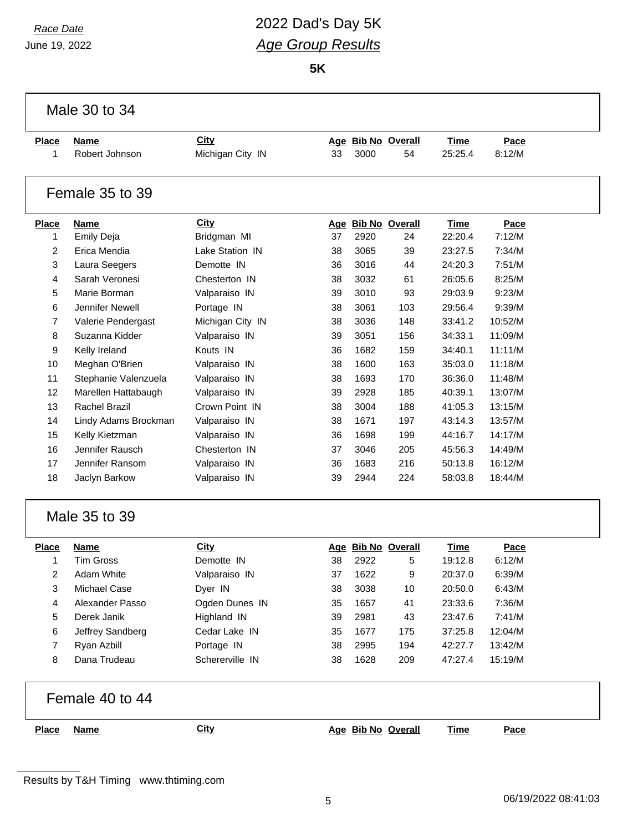# *Race Date* 2022 Dad's Day 5K *Age Group Results*

**5K**

|                | Male 30 to 34        |                  |    |      |                    |             |         |  |
|----------------|----------------------|------------------|----|------|--------------------|-------------|---------|--|
| <b>Place</b>   | Name                 | City             |    |      | Age Bib No Overall | <b>Time</b> | Pace    |  |
| 1              | Robert Johnson       | Michigan City IN | 33 | 3000 | 54                 | 25:25.4     | 8:12/M  |  |
|                | Female 35 to 39      |                  |    |      |                    |             |         |  |
| <b>Place</b>   | <b>Name</b>          | <b>City</b>      |    |      | Age Bib No Overall | Time        | Pace    |  |
| $\mathbf{1}$   | <b>Emily Deja</b>    | Bridgman MI      | 37 | 2920 | 24                 | 22:20.4     | 7:12/M  |  |
| $\overline{2}$ | Erica Mendia         | Lake Station IN  | 38 | 3065 | 39                 | 23:27.5     | 7:34/M  |  |
| 3              | Laura Seegers        | Demotte IN       | 36 | 3016 | 44                 | 24:20.3     | 7:51/M  |  |
| 4              | Sarah Veronesi       | Chesterton IN    | 38 | 3032 | 61                 | 26:05.6     | 8:25/M  |  |
| 5              | Marie Borman         | Valparaiso IN    | 39 | 3010 | 93                 | 29:03.9     | 9:23/M  |  |
| 6              | Jennifer Newell      | Portage IN       | 38 | 3061 | 103                | 29:56.4     | 9:39/M  |  |
| $\overline{7}$ | Valerie Pendergast   | Michigan City IN | 38 | 3036 | 148                | 33:41.2     | 10:52/M |  |
| 8              | Suzanna Kidder       | Valparaiso IN    | 39 | 3051 | 156                | 34:33.1     | 11:09/M |  |
| 9              | Kelly Ireland        | Kouts IN         | 36 | 1682 | 159                | 34:40.1     | 11:11/M |  |
| 10             | Meghan O'Brien       | Valparaiso IN    | 38 | 1600 | 163                | 35:03.0     | 11:18/M |  |
| 11             | Stephanie Valenzuela | Valparaiso IN    | 38 | 1693 | 170                | 36:36.0     | 11:48/M |  |
| 12             | Marellen Hattabaugh  | Valparaiso IN    | 39 | 2928 | 185                | 40:39.1     | 13:07/M |  |
| 13             | <b>Rachel Brazil</b> | Crown Point IN   | 38 | 3004 | 188                | 41:05.3     | 13:15/M |  |
| 14             | Lindy Adams Brockman | Valparaiso IN    | 38 | 1671 | 197                | 43:14.3     | 13:57/M |  |
| 15             | Kelly Kietzman       | Valparaiso IN    | 36 | 1698 | 199                | 44:16.7     | 14:17/M |  |
| 16             | Jennifer Rausch      | Chesterton IN    | 37 | 3046 | 205                | 45:56.3     | 14:49/M |  |
| 17             | Jennifer Ransom      | Valparaiso IN    | 36 | 1683 | 216                | 50:13.8     | 16:12/M |  |
| 18             | Jaclyn Barkow        | Valparaiso IN    | 39 | 2944 | 224                | 58:03.8     | 18:44/M |  |
|                | Male 35 to 39        |                  |    |      |                    |             |         |  |
| <b>Place</b>   | Name                 | <b>City</b>      |    |      | Age Bib No Overall | <b>Time</b> | Pace    |  |
| 1              | <b>Tim Gross</b>     | Demotte IN       | 38 | 2922 | 5                  | 19:12.8     | 6:12/M  |  |
| 2              | Adam White           | Valparaiso IN    | 37 | 1622 | 9                  | 20:37.0     | 6:39/M  |  |
| 3              | Michael Case         | Dyer IN          | 38 | 3038 | 10                 | 20:50.0     | 6:43/M  |  |
| 4              | Alexander Passo      | Ogden Dunes IN   | 35 | 1657 | 41                 | 23:33.6     | 7:36/M  |  |
| 5              | Derek Janik          | Highland IN      | 39 | 2981 | 43                 | 23:47.6     | 7:41/M  |  |
| 6              | Jeffrey Sandberg     | Cedar Lake IN    | 35 | 1677 | 175                | 37:25.8     | 12:04/M |  |
| $\overline{7}$ | Ryan Azbill          | Portage IN       | 38 | 2995 | 194                | 42:27.7     | 13:42/M |  |
| 8              | Dana Trudeau         | Schererville IN  | 38 | 1628 | 209                | 47:27.4     | 15:19/M |  |
|                | Female 40 to 44      |                  |    |      |                    |             |         |  |
| <b>Place</b>   | <b>Name</b>          | <b>City</b>      |    |      | Age Bib No Overall | <b>Time</b> | Pace    |  |
|                |                      |                  |    |      |                    |             |         |  |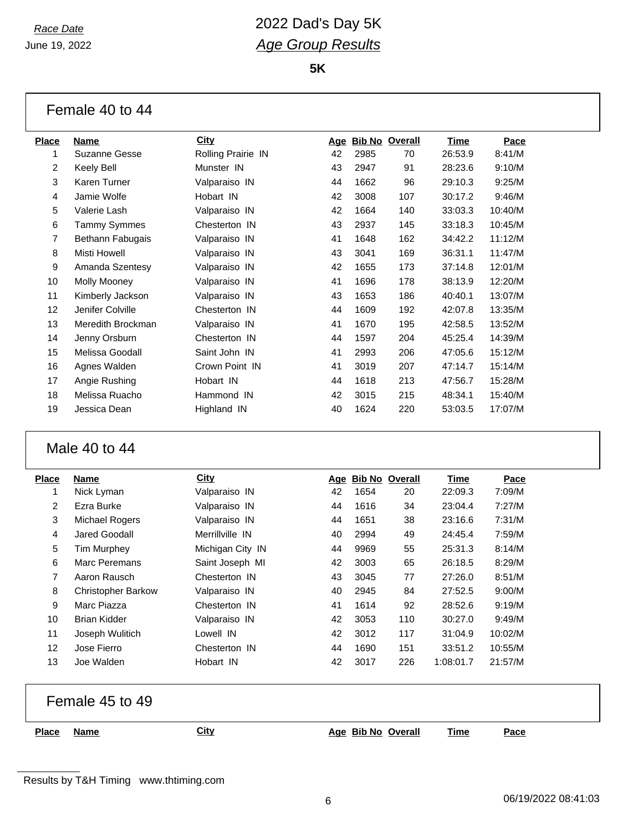### *Race Date* 2022 Dad's Day 5K *Age Group Results*

**5K**

| Female 40 to 44 |  |  |  |
|-----------------|--|--|--|
|-----------------|--|--|--|

| Place          | Name                | <b>City</b>        | <u>Age</u> |      | <b>Bib No Overall</b> | Time    | Pace    |
|----------------|---------------------|--------------------|------------|------|-----------------------|---------|---------|
|                | Suzanne Gesse       | Rolling Prairie IN | 42         | 2985 | 70                    | 26:53.9 | 8:41/M  |
| $\overline{2}$ | Keely Bell          | Munster IN         | 43         | 2947 | 91                    | 28:23.6 | 9:10/M  |
| 3              | Karen Turner        | Valparaiso IN      | 44         | 1662 | 96                    | 29:10.3 | 9:25/M  |
| 4              | Jamie Wolfe         | Hobart IN          | 42         | 3008 | 107                   | 30:17.2 | 9:46/M  |
| 5              | Valerie Lash        | Valparaiso IN      | 42         | 1664 | 140                   | 33:03.3 | 10:40/M |
| 6              | <b>Tammy Symmes</b> | Chesterton IN      | 43         | 2937 | 145                   | 33:18.3 | 10:45/M |
| 7              | Bethann Fabugais    | Valparaiso IN      | 41         | 1648 | 162                   | 34:42.2 | 11:12/M |
| 8              | Misti Howell        | Valparaiso IN      | 43         | 3041 | 169                   | 36:31.1 | 11:47/M |
| 9              | Amanda Szentesy     | Valparaiso IN      | 42         | 1655 | 173                   | 37:14.8 | 12:01/M |
| 10             | Molly Mooney        | Valparaiso IN      | 41         | 1696 | 178                   | 38:13.9 | 12:20/M |
| 11             | Kimberly Jackson    | Valparaiso IN      | 43         | 1653 | 186                   | 40:40.1 | 13:07/M |
| 12             | Jenifer Colville    | Chesterton IN      | 44         | 1609 | 192                   | 42:07.8 | 13:35/M |
| 13             | Meredith Brockman   | Valparaiso IN      | 41         | 1670 | 195                   | 42:58.5 | 13:52/M |
| 14             | Jenny Orsburn       | Chesterton IN      | 44         | 1597 | 204                   | 45:25.4 | 14:39/M |
| 15             | Melissa Goodall     | Saint John IN      | 41         | 2993 | 206                   | 47:05.6 | 15:12/M |
| 16             | Agnes Walden        | Crown Point IN     | 41         | 3019 | 207                   | 47:14.7 | 15:14/M |
| 17             | Angie Rushing       | Hobart IN          | 44         | 1618 | 213                   | 47:56.7 | 15:28/M |
| 18             | Melissa Ruacho      | Hammond IN         | 42         | 3015 | 215                   | 48:34.1 | 15:40/M |
| 19             | Jessica Dean        | Highland IN        | 40         | 1624 | 220                   | 53:03.5 | 17:07/M |
|                |                     |                    |            |      |                       |         |         |

#### Male 40 to 44

| <b>Place</b> | Name                      | <b>City</b>      | Age | <b>Bib No Overall</b> |     | Time      | Pace    |
|--------------|---------------------------|------------------|-----|-----------------------|-----|-----------|---------|
| 1            | Nick Lyman                | Valparaiso IN    | 42  | 1654                  | 20  | 22:09.3   | 7:09/M  |
| 2            | Ezra Burke                | Valparaiso IN    | 44  | 1616                  | 34  | 23:04.4   | 7:27/M  |
| 3            | Michael Rogers            | Valparaiso IN    | 44  | 1651                  | 38  | 23:16.6   | 7:31/M  |
| 4            | Jared Goodall             | Merrillville IN  | 40  | 2994                  | 49  | 24:45.4   | 7:59/M  |
| 5            | <b>Tim Murphey</b>        | Michigan City IN | 44  | 9969                  | 55  | 25:31.3   | 8:14/M  |
| 6            | Marc Peremans             | Saint Joseph MI  | 42  | 3003                  | 65  | 26:18.5   | 8:29/M  |
| 7            | Aaron Rausch              | Chesterton IN    | 43  | 3045                  | 77  | 27:26.0   | 8:51/M  |
| 8            | <b>Christopher Barkow</b> | Valparaiso IN    | 40  | 2945                  | 84  | 27:52.5   | 9:00/M  |
| 9            | Marc Piazza               | Chesterton IN    | 41  | 1614                  | 92  | 28:52.6   | 9:19/M  |
| 10           | <b>Brian Kidder</b>       | Valparaiso IN    | 42  | 3053                  | 110 | 30:27.0   | 9:49/M  |
| 11           | Joseph Wulitich           | Lowell IN        | 42  | 3012                  | 117 | 31:04.9   | 10:02/M |
| 12           | Jose Fierro               | Chesterton IN    | 44  | 1690                  | 151 | 33:51.2   | 10:55/M |
| 13           | Joe Walden                | Hobart IN        | 42  | 3017                  | 226 | 1:08:01.7 | 21:57/M |

Female 45 to 49

**Place Name City Age Bib No Overall Time Pace**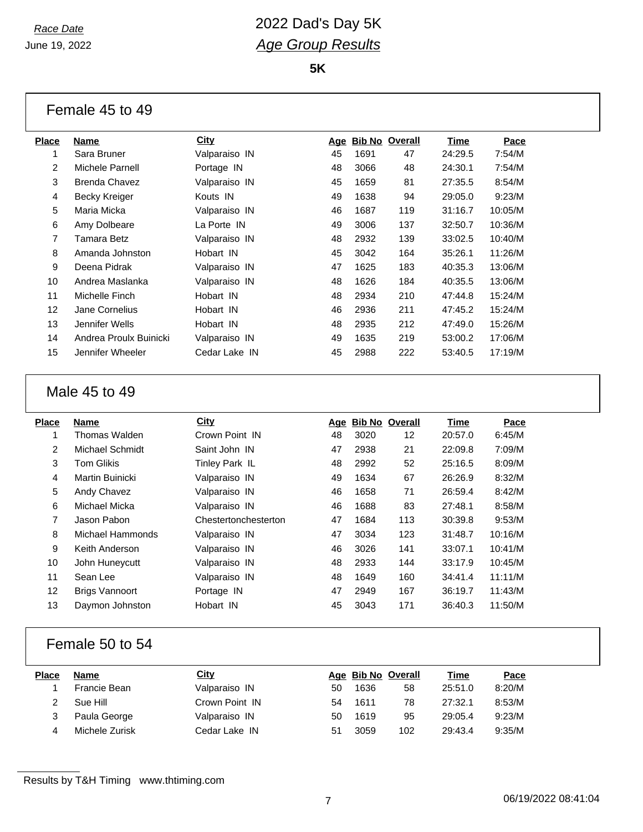#### *Race Date* 2022 Dad's Day 5K *Age Group Results*

**5K**

| Place | Name                   | City          | Age |      | <b>Bib No Overall</b> | Time    | Pace    |
|-------|------------------------|---------------|-----|------|-----------------------|---------|---------|
|       | Sara Bruner            | Valparaiso IN | 45  | 1691 | 47                    | 24:29.5 | 7:54/M  |
| 2     | Michele Parnell        | Portage IN    | 48  | 3066 | 48                    | 24:30.1 | 7:54/M  |
| 3     | <b>Brenda Chavez</b>   | Valparaiso IN | 45  | 1659 | 81                    | 27:35.5 | 8:54/M  |
| 4     | Becky Kreiger          | Kouts IN      | 49  | 1638 | 94                    | 29:05.0 | 9:23/M  |
| 5     | Maria Micka            | Valparaiso IN | 46  | 1687 | 119                   | 31:16.7 | 10:05/M |
| 6     | Amy Dolbeare           | La Porte IN   | 49  | 3006 | 137                   | 32:50.7 | 10:36/M |
| 7     | Tamara Betz            | Valparaiso IN | 48  | 2932 | 139                   | 33:02.5 | 10:40/M |
| 8     | Amanda Johnston        | Hobart IN     | 45  | 3042 | 164                   | 35:26.1 | 11:26/M |
| 9     | Deena Pidrak           | Valparaiso IN | 47  | 1625 | 183                   | 40:35.3 | 13:06/M |
| 10    | Andrea Maslanka        | Valparaiso IN | 48  | 1626 | 184                   | 40:35.5 | 13:06/M |
| 11    | Michelle Finch         | Hobart IN     | 48  | 2934 | 210                   | 47:44.8 | 15:24/M |
| 12    | Jane Cornelius         | Hobart IN     | 46  | 2936 | 211                   | 47:45.2 | 15:24/M |
| 13    | Jennifer Wells         | Hobart IN     | 48  | 2935 | 212                   | 47:49.0 | 15:26/M |
| 14    | Andrea Proulx Buinicki | Valparaiso IN | 49  | 1635 | 219                   | 53:00.2 | 17:06/M |
| 15    | Jennifer Wheeler       | Cedar Lake IN | 45  | 2988 | 222                   | 53:40.5 | 17:19/M |
|       |                        |               |     |      |                       |         |         |

#### Male 45 to 49

| Place | Name                   | City                 |    | Age Bib No Overall |                   | Time    | Pace    |
|-------|------------------------|----------------------|----|--------------------|-------------------|---------|---------|
| 1     | Thomas Walden          | Crown Point IN       | 48 | 3020               | $12 \overline{ }$ | 20:57.0 | 6:45/M  |
| 2     | Michael Schmidt        | Saint John IN        | 47 | 2938               | 21                | 22:09.8 | 7:09/M  |
| 3     | <b>Tom Glikis</b>      | Tinley Park IL       | 48 | 2992               | 52                | 25:16.5 | 8:09/M  |
| 4     | <b>Martin Buinicki</b> | Valparaiso IN        | 49 | 1634               | 67                | 26:26.9 | 8:32/M  |
| 5     | Andy Chavez            | Valparaiso IN        | 46 | 1658               | 71                | 26:59.4 | 8:42/M  |
| 6     | Michael Micka          | Valparaiso IN        | 46 | 1688               | 83                | 27:48.1 | 8:58/M  |
| 7     | Jason Pabon            | Chestertonchesterton | 47 | 1684               | 113               | 30:39.8 | 9:53/M  |
| 8     | Michael Hammonds       | Valparaiso IN        | 47 | 3034               | 123               | 31:48.7 | 10:16/M |
| 9     | Keith Anderson         | Valparaiso IN        | 46 | 3026               | 141               | 33:07.1 | 10:41/M |
| 10    | John Huneycutt         | Valparaiso IN        | 48 | 2933               | 144               | 33:17.9 | 10:45/M |
| 11    | Sean Lee               | Valparaiso IN        | 48 | 1649               | 160               | 34:41.4 | 11:11/M |
| 12    | <b>Brigs Vannoort</b>  | Portage IN           | 47 | 2949               | 167               | 36:19.7 | 11:43/M |
| 13    | Daymon Johnston        | Hobart IN            | 45 | 3043               | 171               | 36:40.3 | 11:50/M |
|       |                        |                      |    |                    |                   |         |         |

#### Female 50 to 54

| Place | Name           | <u>City</u>    |    | Age Bib No Overall |     | Time    | Pace   |
|-------|----------------|----------------|----|--------------------|-----|---------|--------|
|       | Francie Bean   | Valparaiso IN  | 50 | 1636               | 58  | 25:51.0 | 8:20/M |
|       | Sue Hill       | Crown Point IN | 54 | 1611               | 78  | 27:32.1 | 8:53/M |
|       | Paula George   | Valparaiso IN  | 50 | 1619               | 95  | 29:05.4 | 9:23/M |
|       | Michele Zurisk | Cedar Lake IN  | 51 | 3059               | 102 | 29:43.4 | 9:35/M |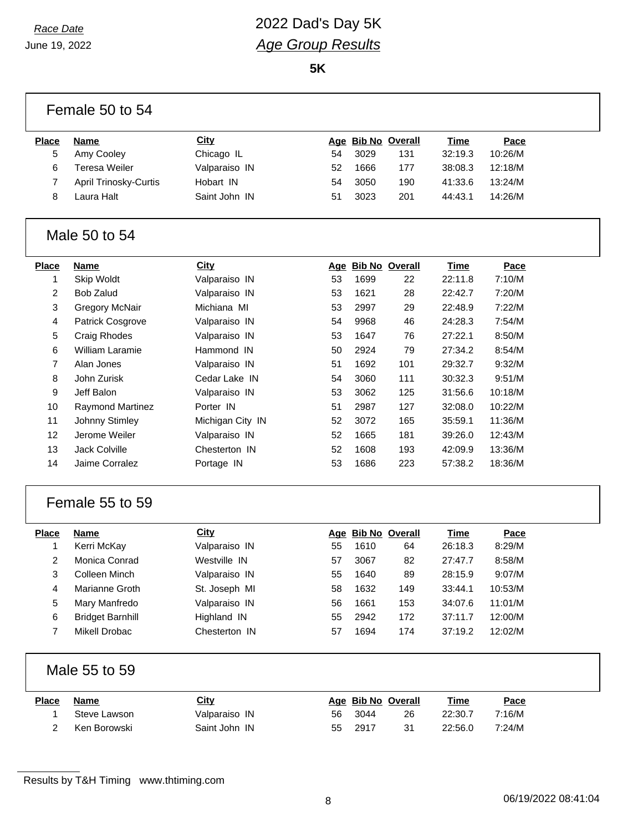### *Race Date* 2022 Dad's Day 5K *Age Group Results*

**5K**

|              | Female 50 to 54         |                  |    |      |                    |             |         |
|--------------|-------------------------|------------------|----|------|--------------------|-------------|---------|
| <b>Place</b> | <b>Name</b>             | <b>City</b>      |    |      | Age Bib No Overall | Time        | Pace    |
| 5            | Amy Cooley              | Chicago IL       | 54 | 3029 | 131                | 32:19.3     | 10:26/M |
| 6            | <b>Teresa Weiler</b>    | Valparaiso IN    | 52 | 1666 | 177                | 38:08.3     | 12:18/M |
| 7            | April Trinosky-Curtis   | Hobart IN        | 54 | 3050 | 190                | 41:33.6     | 13:24/M |
| 8            | Laura Halt              | Saint John IN    | 51 | 3023 | 201                | 44:43.1     | 14:26/M |
|              | Male 50 to 54           |                  |    |      |                    |             |         |
| <b>Place</b> | <b>Name</b>             | <b>City</b>      |    |      | Age Bib No Overall | <b>Time</b> | Pace    |
| 1            | Skip Woldt              | Valparaiso IN    | 53 | 1699 | 22                 | 22:11.8     | 7:10/M  |
| 2            | <b>Bob Zalud</b>        | Valparaiso IN    | 53 | 1621 | 28                 | 22:42.7     | 7:20/M  |
| 3            | <b>Gregory McNair</b>   | Michiana MI      | 53 | 2997 | 29                 | 22:48.9     | 7:22/M  |
| 4            | Patrick Cosgrove        | Valparaiso IN    | 54 | 9968 | 46                 | 24:28.3     | 7:54/M  |
| 5            | Craig Rhodes            | Valparaiso IN    | 53 | 1647 | 76                 | 27:22.1     | 8:50/M  |
| 6            | William Laramie         | Hammond IN       | 50 | 2924 | 79                 | 27:34.2     | 8:54/M  |
| 7            | Alan Jones              | Valparaiso IN    | 51 | 1692 | 101                | 29:32.7     | 9:32/M  |
| 8            | John Zurisk             | Cedar Lake IN    | 54 | 3060 | 111                | 30:32.3     | 9:51/M  |
| 9            | Jeff Balon              | Valparaiso IN    | 53 | 3062 | 125                | 31:56.6     | 10:18/M |
| 10           | <b>Raymond Martinez</b> | Porter IN        | 51 | 2987 | 127                | 32:08.0     | 10:22/M |
| 11           | Johnny Stimley          | Michigan City IN | 52 | 3072 | 165                | 35:59.1     | 11:36/M |
| 12           | Jerome Weiler           | Valparaiso IN    | 52 | 1665 | 181                | 39:26.0     | 12:43/M |
| 13           | Jack Colville           | Chesterton IN    | 52 | 1608 | 193                | 42:09.9     | 13:36/M |
| 14           | Jaime Corralez          | Portage IN       | 53 | 1686 | 223                | 57:38.2     | 18:36/M |
|              | Female 55 to 59         |                  |    |      |                    |             |         |
| <b>Place</b> | <b>Name</b>             | <b>City</b>      |    |      | Age Bib No Overall | <b>Time</b> | Pace    |
| 1            | Kerri McKay             | Valparaiso IN    | 55 | 1610 | 64                 | 26:18.3     | 8:29/M  |
| 2            | Monica Conrad           | Westville IN     | 57 | 3067 | 82                 | 27:47.7     | 8:58/M  |
| 3            | Colleen Minch           | Valparaiso IN    | 55 | 1640 | 89                 | 28:15.9     | 9:07/M  |
| 4            | Marianne Groth          | St. Joseph MI    | 58 | 1632 | 149                | 33:44.1     | 10:53/M |
| 5            | Mary Manfredo           | Valparaiso IN    | 56 | 1661 | 153                | 34:07.6     | 11:01/M |
| 6            | <b>Bridget Barnhill</b> | Highland IN      | 55 | 2942 | 172                | 37:11.7     | 12:00/M |
| 7            | <b>Mikell Drobac</b>    | Chesterton IN    | 57 | 1694 | 174                | 37:19.2     | 12:02/M |
|              | Male 55 to 59           |                  |    |      |                    |             |         |
| <b>Place</b> | <b>Name</b>             | City             |    |      | Age Bib No Overall | <b>Time</b> | Pace    |
| 1            | Steve Lawson            | Valparaiso IN    | 56 | 3044 | 26                 | 22:30.7     | 7:16/M  |
| 2            | Ken Borowski            | Saint John IN    | 55 | 2917 | 31                 | 22:56.0     | 7:24/M  |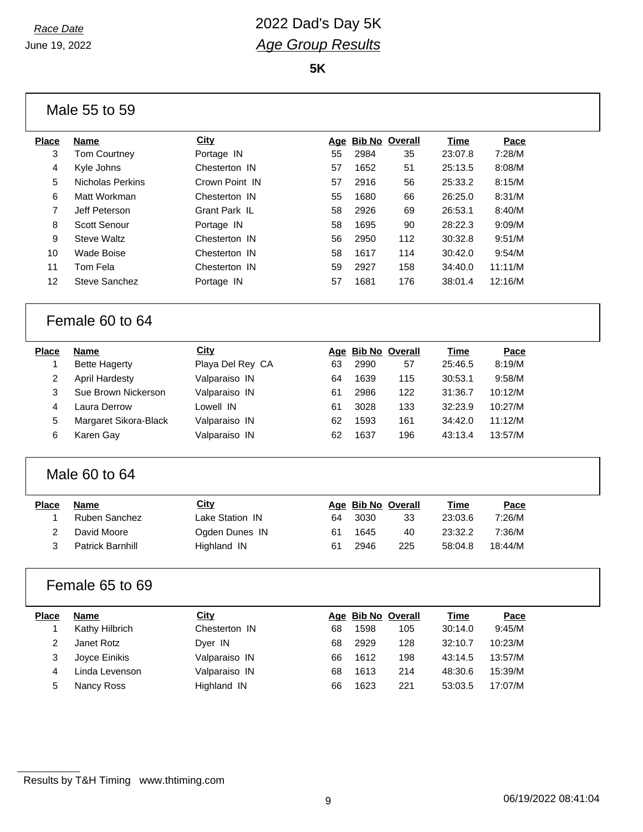#### *Race Date* 2022 Dad's Day 5K *Age Group Results*

**5K**

| Male 55 to 59   |                         |                  |    |      |                    |             |         |  |
|-----------------|-------------------------|------------------|----|------|--------------------|-------------|---------|--|
| <b>Place</b>    | <b>Name</b>             | City             |    |      | Age Bib No Overall | <b>Time</b> | Pace    |  |
| 3               | <b>Tom Courtney</b>     | Portage IN       | 55 | 2984 | 35                 | 23:07.8     | 7:28/M  |  |
| 4               | Kyle Johns              | Chesterton IN    | 57 | 1652 | 51                 | 25:13.5     | 8:08/M  |  |
| 5               | <b>Nicholas Perkins</b> | Crown Point IN   | 57 | 2916 | 56                 | 25:33.2     | 8:15/M  |  |
| 6               | Matt Workman            | Chesterton IN    | 55 | 1680 | 66                 | 26:25.0     | 8:31/M  |  |
| 7               | Jeff Peterson           | Grant Park IL    | 58 | 2926 | 69                 | 26:53.1     | 8:40/M  |  |
| 8               | <b>Scott Senour</b>     | Portage IN       | 58 | 1695 | 90                 | 28:22.3     | 9:09/M  |  |
| 9               | <b>Steve Waltz</b>      | Chesterton IN    | 56 | 2950 | 112                | 30:32.8     | 9:51/M  |  |
| 10              | <b>Wade Boise</b>       | Chesterton IN    | 58 | 1617 | 114                | 30:42.0     | 9:54/M  |  |
| 11              | Tom Fela                | Chesterton IN    | 59 | 2927 | 158                | 34:40.0     | 11:11/M |  |
| 12              | <b>Steve Sanchez</b>    | Portage IN       | 57 | 1681 | 176                | 38:01.4     | 12:16/M |  |
| Female 60 to 64 |                         |                  |    |      |                    |             |         |  |
| <b>Place</b>    | <b>Name</b>             | City             |    |      | Age Bib No Overall | Time        | Pace    |  |
| 1               | <b>Bette Hagerty</b>    | Playa Del Rey CA | 63 | 2990 | 57                 | 25:46.5     | 8:19/M  |  |
| 2               | <b>April Hardesty</b>   | Valparaiso IN    | 64 | 1639 | 115                | 30:53.1     | 9:58/M  |  |
| 3               | Sue Brown Nickerson     | Valparaiso IN    | 61 | 2986 | 122                | 31:36.7     | 10:12/M |  |
| 4               | Laura Derrow            | Lowell IN        | 61 | 3028 | 133                | 32:23.9     | 10:27/M |  |
| 5               | Margaret Sikora-Black   | Valparaiso IN    | 62 | 1593 | 161                | 34:42.0     | 11:12/M |  |
| 6               | Karen Gay               | Valparaiso IN    | 62 | 1637 | 196                | 43:13.4     | 13:57/M |  |
| Male 60 to 64   |                         |                  |    |      |                    |             |         |  |
| <b>Place</b>    | <b>Name</b>             | City             |    |      | Age Bib No Overall | <b>Time</b> | Pace    |  |
| 1               | <b>Ruben Sanchez</b>    | Lake Station IN  | 64 | 3030 | 33                 | 23:03.6     | 7:26/M  |  |
| 2               | David Moore             | Ogden Dunes IN   | 61 | 1645 | 40                 | 23:32.2     | 7:36/M  |  |
| 3               | <b>Patrick Barnhill</b> | Highland IN      | 61 | 2946 | 225                | 58:04.8     | 18:44/M |  |
| Female 65 to 69 |                         |                  |    |      |                    |             |         |  |
| <b>Place</b>    | <b>Name</b>             | City             |    |      | Age Bib No Overall | <b>Time</b> | Pace    |  |
| 1               | Kathy Hilbrich          | Chesterton IN    | 68 | 1598 | 105                | 30:14.0     | 9:45/M  |  |
| $\overline{2}$  | Janet Rotz              | Dyer IN          | 68 | 2929 | 128                | 32:10.7     | 10:23/M |  |
| 3               | Joyce Einikis           | Valparaiso IN    | 66 | 1612 | 198                | 43:14.5     | 13:57/M |  |
| 4               | Linda Levenson          | Valparaiso IN    | 68 | 1613 | 214                | 48:30.6     | 15:39/M |  |
| 5               | Nancy Ross              | Highland IN      | 66 | 1623 | 221                | 53:03.5     | 17:07/M |  |